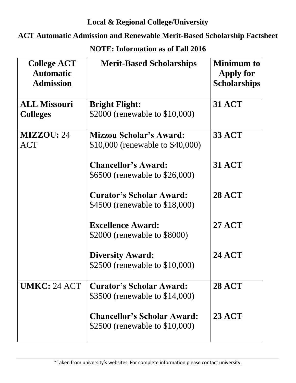## **Local & Regional College/University**

## **ACT Automatic Admission and Renewable Merit-Based Scholarship Factsheet**

| <b>College ACT</b><br><b>Automatic</b><br><b>Admission</b> | <b>Merit-Based Scholarships</b>                                      | <b>Minimum to</b><br>Apply for<br><b>Scholarships</b> |
|------------------------------------------------------------|----------------------------------------------------------------------|-------------------------------------------------------|
| <b>ALL Missouri</b>                                        | <b>Bright Flight:</b>                                                | <b>31 ACT</b>                                         |
| <b>Colleges</b>                                            | \$2000 (renewable to \$10,000)                                       |                                                       |
| <b>MIZZOU: 24</b>                                          | <b>Mizzou Scholar's Award:</b>                                       | <b>33 ACT</b>                                         |
| <b>ACT</b>                                                 | \$10,000 (renewable to \$40,000)                                     |                                                       |
|                                                            | <b>Chancellor's Award:</b>                                           | <b>31 ACT</b>                                         |
|                                                            | \$6500 (renewable to \$26,000)                                       |                                                       |
|                                                            | <b>Curator's Scholar Award:</b>                                      | <b>28 ACT</b>                                         |
|                                                            | \$4500 (renewable to \$18,000)                                       |                                                       |
|                                                            | <b>Excellence Award:</b>                                             | <b>27 ACT</b>                                         |
|                                                            | \$2000 (renewable to \$8000)                                         |                                                       |
|                                                            | <b>Diversity Award:</b>                                              | <b>24 ACT</b>                                         |
|                                                            | \$2500 (renewable to \$10,000)                                       |                                                       |
| UMKC: 24 ACT                                               | <b>Curator's Scholar Award:</b>                                      | <b>28 ACT</b>                                         |
|                                                            | \$3500 (renewable to \$14,000)                                       |                                                       |
|                                                            | <b>Chancellor's Scholar Award:</b><br>\$2500 (renewable to \$10,000) | <b>23 ACT</b>                                         |

**NOTE: Information as of Fall 2016**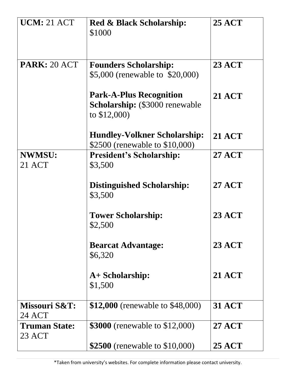| <b>UCM: 21 ACT</b>             | <b>Red &amp; Black Scholarship:</b><br>\$1000                                              | <b>25 ACT</b> |
|--------------------------------|--------------------------------------------------------------------------------------------|---------------|
| PARK: 20 ACT                   | <b>Founders Scholarship:</b><br>\$5,000 (renewable to \$20,000)                            | <b>23 ACT</b> |
|                                | <b>Park-A-Plus Recognition</b><br><b>Scholarship:</b> (\$3000 renewable)<br>to $$12,000$ ) | <b>21 ACT</b> |
|                                | <b>Hundley-Volkner Scholarship:</b><br>\$2500 (renewable to \$10,000)                      | <b>21 ACT</b> |
| <b>NWMSU:</b><br>21 ACT        | <b>President's Scholarship:</b><br>\$3,500                                                 | <b>27 ACT</b> |
|                                | <b>Distinguished Scholarship:</b><br>\$3,500                                               | <b>27 ACT</b> |
|                                | <b>Tower Scholarship:</b><br>\$2,500                                                       | <b>23 ACT</b> |
|                                | <b>Bearcat Advantage:</b><br>\$6,320                                                       | <b>23 ACT</b> |
|                                | A+ Scholarship:<br>\$1,500                                                                 | <b>21 ACT</b> |
| Missouri S&T:<br><b>24 ACT</b> | \$12,000 (renewable to \$48,000)                                                           | <b>31 ACT</b> |
| <b>Truman State:</b><br>23 ACT | <b>\$3000</b> (renewable to \$12,000)                                                      | <b>27 ACT</b> |
|                                | \$2500 (renewable to \$10,000)                                                             | <b>25 ACT</b> |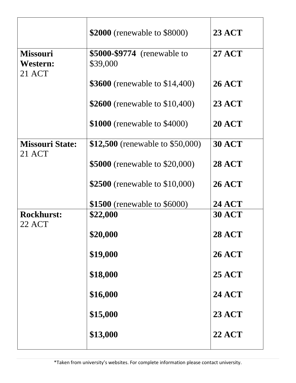|                                       | \$2000 (renewable to \$8000)            | <b>23 ACT</b> |
|---------------------------------------|-----------------------------------------|---------------|
| <b>Missouri</b><br>Western:<br>21 ACT | \$5000-\$9774 (renewable to<br>\$39,000 | <b>27 ACT</b> |
|                                       | <b>\$3600</b> (renewable to \$14,400)   | <b>26 ACT</b> |
|                                       | \$2600 (renewable to \$10,400)          | <b>23 ACT</b> |
|                                       | \$1000 (renewable to \$4000)            | <b>20 ACT</b> |
| <b>Missouri State:</b><br>21 ACT      | \$12,500 (renewable to \$50,000)        | <b>30 ACT</b> |
|                                       | <b>\$5000</b> (renewable to \$20,000)   | <b>28 ACT</b> |
|                                       | \$2500 (renewable to \$10,000)          | <b>26 ACT</b> |
|                                       | \$1500 (renewable to \$6000)            | <b>24 ACT</b> |
| <b>Rockhurst:</b><br>22 ACT           | \$22,000                                | <b>30 ACT</b> |
|                                       | \$20,000                                | <b>28 ACT</b> |
|                                       | \$19,000                                | <b>26 ACT</b> |
|                                       | \$18,000                                | <b>25 ACT</b> |
|                                       | \$16,000                                | <b>24 ACT</b> |
|                                       | \$15,000                                | <b>23 ACT</b> |
|                                       | \$13,000                                | <b>22 ACT</b> |
|                                       |                                         |               |